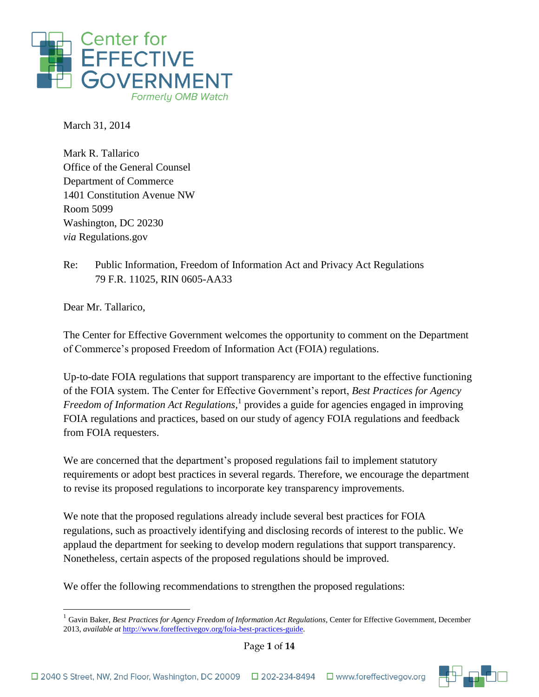

March 31, 2014

Mark R. Tallarico Office of the General Counsel Department of Commerce 1401 Constitution Avenue NW Room 5099 Washington, DC 20230 *via* Regulations.gov

Re: Public Information, Freedom of Information Act and Privacy Act Regulations 79 F.R. 11025, RIN 0605-AA33

Dear Mr. Tallarico,

 $\overline{a}$ 

The Center for Effective Government welcomes the opportunity to comment on the Department of Commerce's proposed Freedom of Information Act (FOIA) regulations.

Up-to-date FOIA regulations that support transparency are important to the effective functioning of the FOIA system. The Center for Effective Government's report, *Best Practices for Agency Freedom of Information Act Regulations,* 1 provides a guide for agencies engaged in improving FOIA regulations and practices, based on our study of agency FOIA regulations and feedback from FOIA requesters.

We are concerned that the department's proposed regulations fail to implement statutory requirements or adopt best practices in several regards. Therefore, we encourage the department to revise its proposed regulations to incorporate key transparency improvements.

We note that the proposed regulations already include several best practices for FOIA regulations, such as proactively identifying and disclosing records of interest to the public. We applaud the department for seeking to develop modern regulations that support transparency. Nonetheless, certain aspects of the proposed regulations should be improved.

We offer the following recommendations to strengthen the proposed regulations:

<sup>&</sup>lt;sup>1</sup> Gavin Baker, *Best Practices for Agency Freedom of Information Act Regulations*, Center for Effective Government, December 2013, *available at* [http://www.foreffectivegov.org/foia-best-practices-guide.](http://www.foreffectivegov.org/foia-best-practices-guide) 



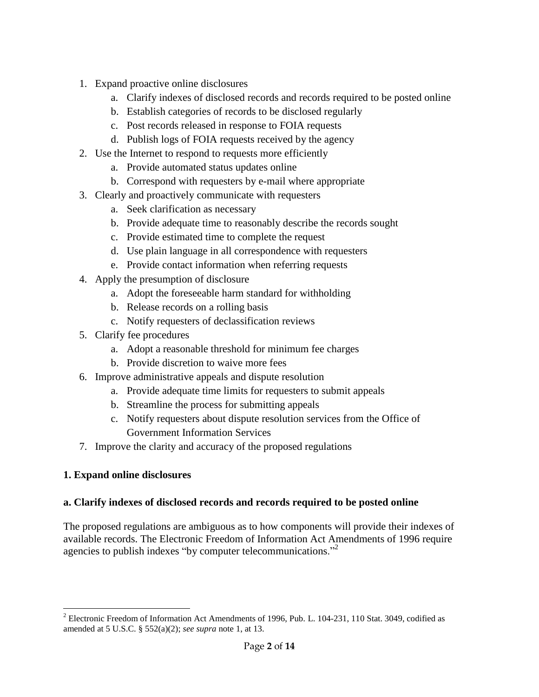- 1. Expand proactive online disclosures
	- a. Clarify indexes of disclosed records and records required to be posted online
	- b. Establish categories of records to be disclosed regularly
	- c. Post records released in response to FOIA requests
	- d. Publish logs of FOIA requests received by the agency
- 2. Use the Internet to respond to requests more efficiently
	- a. Provide automated status updates online
	- b. Correspond with requesters by e-mail where appropriate
- 3. Clearly and proactively communicate with requesters
	- a. Seek clarification as necessary
	- b. Provide adequate time to reasonably describe the records sought
	- c. Provide estimated time to complete the request
	- d. Use plain language in all correspondence with requesters
	- e. Provide contact information when referring requests
- 4. Apply the presumption of disclosure
	- a. Adopt the foreseeable harm standard for withholding
	- b. Release records on a rolling basis
	- c. Notify requesters of declassification reviews
- 5. Clarify fee procedures
	- a. Adopt a reasonable threshold for minimum fee charges
	- b. Provide discretion to waive more fees
- 6. Improve administrative appeals and dispute resolution
	- a. Provide adequate time limits for requesters to submit appeals
	- b. Streamline the process for submitting appeals
	- c. Notify requesters about dispute resolution services from the Office of Government Information Services
- 7. Improve the clarity and accuracy of the proposed regulations

# **1. Expand online disclosures**

### **a. Clarify indexes of disclosed records and records required to be posted online**

The proposed regulations are ambiguous as to how components will provide their indexes of available records. The Electronic Freedom of Information Act Amendments of 1996 require agencies to publish indexes "by computer telecommunications."<sup>2</sup>

 $\overline{a}$ <sup>2</sup> Electronic Freedom of Information Act Amendments of 1996, Pub. L. 104-231, 110 Stat. 3049, codified as amended at 5 U.S.C. § 552(a)(2); *see supra* note 1, at 13.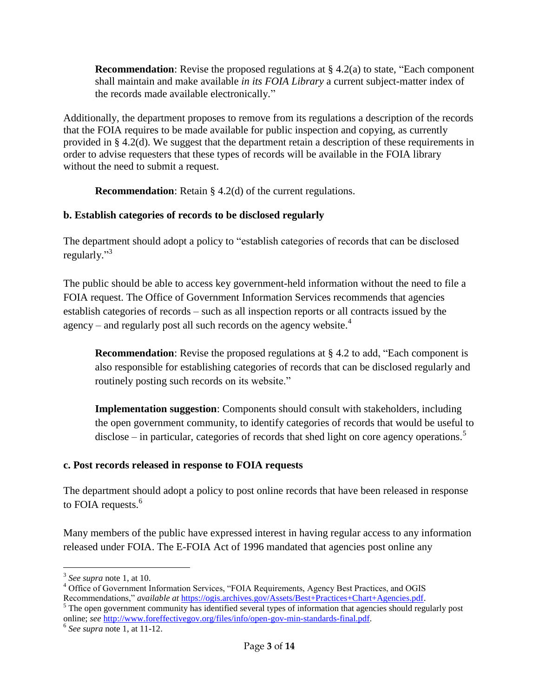**Recommendation**: Revise the proposed regulations at § 4.2(a) to state, "Each component shall maintain and make available *in its FOIA Library* a current subject-matter index of the records made available electronically."

Additionally, the department proposes to remove from its regulations a description of the records that the FOIA requires to be made available for public inspection and copying, as currently provided in § 4.2(d). We suggest that the department retain a description of these requirements in order to advise requesters that these types of records will be available in the FOIA library without the need to submit a request.

**Recommendation**: Retain § 4.2(d) of the current regulations.

# **b. Establish categories of records to be disclosed regularly**

The department should adopt a policy to "establish categories of records that can be disclosed regularly."<sup>3</sup>

The public should be able to access key government-held information without the need to file a FOIA request. The Office of Government Information Services recommends that agencies establish categories of records – such as all inspection reports or all contracts issued by the agency – and regularly post all such records on the agency website.<sup>4</sup>

**Recommendation**: Revise the proposed regulations at § 4.2 to add, "Each component is also responsible for establishing categories of records that can be disclosed regularly and routinely posting such records on its website."

**Implementation suggestion**: Components should consult with stakeholders, including the open government community, to identify categories of records that would be useful to disclose – in particular, categories of records that shed light on core agency operations.<sup>5</sup>

# **c. Post records released in response to FOIA requests**

The department should adopt a policy to post online records that have been released in response to FOIA requests.<sup>6</sup>

Many members of the public have expressed interest in having regular access to any information released under FOIA. The E-FOIA Act of 1996 mandated that agencies post online any

<sup>1</sup> 3 *See supra* note 1, at 10.

<sup>4</sup> Office of Government Information Services, "FOIA Requirements, Agency Best Practices, and OGIS Recommendations," *available at* [https://ogis.archives.gov/Assets/Best+Practices+Chart+Agencies.pdf.](https://ogis.archives.gov/Assets/Best+Practices+Chart+Agencies.pdf)

<sup>&</sup>lt;sup>5</sup> The open government community has identified several types of information that agencies should regularly post online; *see* [http://www.foreffectivegov.org/files/info/open-gov-min-standards-final.pdf.](http://www.foreffectivegov.org/files/info/open-gov-min-standards-final.pdf)

<sup>6</sup> *See supra* note 1, at 11-12.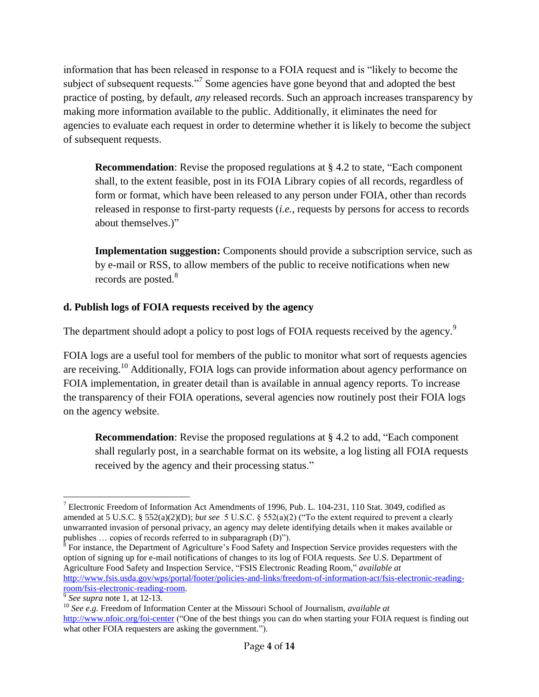information that has been released in response to a FOIA request and is "likely to become the subject of subsequent requests."<sup>7</sup> Some agencies have gone beyond that and adopted the best practice of posting, by default, *any* released records. Such an approach increases transparency by making more information available to the public. Additionally, it eliminates the need for agencies to evaluate each request in order to determine whether it is likely to become the subject of subsequent requests.

**Recommendation**: Revise the proposed regulations at § 4.2 to state, "Each component shall, to the extent feasible, post in its FOIA Library copies of all records, regardless of form or format, which have been released to any person under FOIA, other than records released in response to first-party requests (*i.e.*, requests by persons for access to records about themselves.)"

**Implementation suggestion:** Components should provide a subscription service, such as by e-mail or RSS, to allow members of the public to receive notifications when new records are posted.<sup>8</sup>

# **d. Publish logs of FOIA requests received by the agency**

The department should adopt a policy to post logs of FOIA requests received by the agency.<sup>9</sup>

FOIA logs are a useful tool for members of the public to monitor what sort of requests agencies are receiving.<sup>10</sup> Additionally, FOIA logs can provide information about agency performance on FOIA implementation, in greater detail than is available in annual agency reports. To increase the transparency of their FOIA operations, several agencies now routinely post their FOIA logs on the agency website.

**Recommendation**: Revise the proposed regulations at § 4.2 to add, "Each component" shall regularly post, in a searchable format on its website, a log listing all FOIA requests received by the agency and their processing status."

<sup>8</sup> For instance, the Department of Agriculture's Food Safety and Inspection Service provides requesters with the option of signing up for e-mail notifications of changes to its log of FOIA requests. *See* U.S. Department of Agriculture Food Safety and Inspection Service, "FSIS Electronic Reading Room," *available at*  [http://www.fsis.usda.gov/wps/portal/footer/policies-and-links/freedom-of-information-act/fsis-electronic-reading](http://www.fsis.usda.gov/wps/portal/footer/policies-and-links/freedom-of-information-act/fsis-electronic-reading-room/fsis-electronic-reading-room)[room/fsis-electronic-reading-room.](http://www.fsis.usda.gov/wps/portal/footer/policies-and-links/freedom-of-information-act/fsis-electronic-reading-room/fsis-electronic-reading-room)

 $\overline{a}$ <sup>7</sup> Electronic Freedom of Information Act Amendments of 1996, Pub. L. 104-231, 110 Stat. 3049, codified as amended at 5 U.S.C. § 552(a)(2)(D); *but see* 5 U.S.C. § 552(a)(2) ("To the extent required to prevent a clearly unwarranted invasion of personal privacy, an agency may delete identifying details when it makes available or publishes … copies of records referred to in subparagraph (D)").

<sup>9</sup> *See supra* note 1, at 12-13.

<sup>&</sup>lt;sup>10</sup> See e.g. Freedom of Information Center at the Missouri School of Journalism, *available at* <http://www.nfoic.org/foi-center> ("One of the best things you can do when starting your FOIA request is finding out what other FOIA requesters are asking the government.").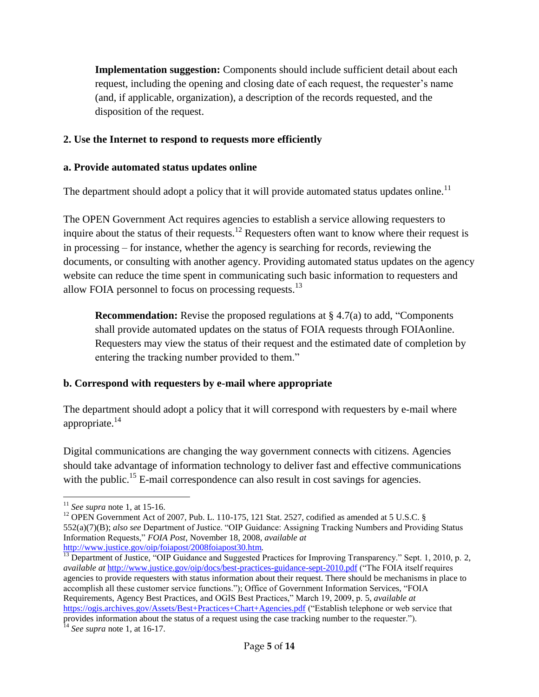**Implementation suggestion:** Components should include sufficient detail about each request, including the opening and closing date of each request, the requester's name (and, if applicable, organization), a description of the records requested, and the disposition of the request.

### **2. Use the Internet to respond to requests more efficiently**

### **a. Provide automated status updates online**

The department should adopt a policy that it will provide automated status updates online.<sup>11</sup>

The OPEN Government Act requires agencies to establish a service allowing requesters to inquire about the status of their requests.<sup>12</sup> Requesters often want to know where their request is in processing – for instance, whether the agency is searching for records, reviewing the documents, or consulting with another agency. Providing automated status updates on the agency website can reduce the time spent in communicating such basic information to requesters and allow FOIA personnel to focus on processing requests.<sup>13</sup>

**Recommendation:** Revise the proposed regulations at § 4.7(a) to add, "Components" shall provide automated updates on the status of FOIA requests through FOIAonline. Requesters may view the status of their request and the estimated date of completion by entering the tracking number provided to them."

### **b. Correspond with requesters by e-mail where appropriate**

The department should adopt a policy that it will correspond with requesters by e-mail where appropriate. $^{14}$ 

Digital communications are changing the way government connects with citizens. Agencies should take advantage of information technology to deliver fast and effective communications with the public.<sup>15</sup> E-mail correspondence can also result in cost savings for agencies.

 $\overline{a}$ <sup>11</sup> *See supra* note 1, at 15-16.

<sup>&</sup>lt;sup>12</sup> OPEN Government Act of 2007, Pub. L. 110-175, 121 Stat. 2527, codified as amended at 5 U.S.C. § 552(a)(7)(B); *also see* Department of Justice. "OIP Guidance: Assigning Tracking Numbers and Providing Status Information Requests," *FOIA Post*, November 18, 2008, *available at*  <http://www.justice.gov/oip/foiapost/2008foiapost30.htm>*.*

 $\overline{^{13}}$  Department of Justice, "OIP Guidance and Suggested Practices for Improving Transparency." Sept. 1, 2010, p. 2, *available at* <http://www.justice.gov/oip/docs/best-practices-guidance-sept-2010.pdf> ("The FOIA itself requires agencies to provide requesters with status information about their request. There should be mechanisms in place to accomplish all these customer service functions."); Office of Government Information Services, "FOIA Requirements, Agency Best Practices, and OGIS Best Practices," March 19, 2009, p. 5, *available at*  <https://ogis.archives.gov/Assets/Best+Practices+Chart+Agencies.pdf> ("Establish telephone or web service that provides information about the status of a request using the case tracking number to the requester.").

<sup>14</sup> *See supra* note 1, at 16-17.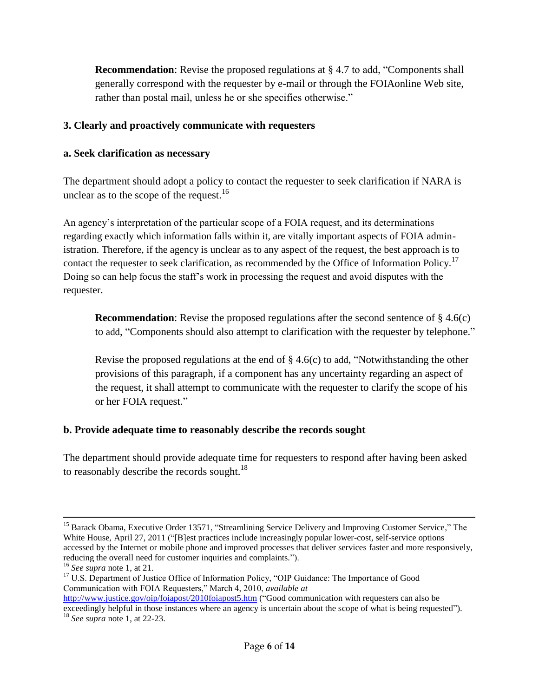**Recommendation**: Revise the proposed regulations at § 4.7 to add, "Components shall generally correspond with the requester by e-mail or through the FOIAonline Web site, rather than postal mail, unless he or she specifies otherwise."

### **3. Clearly and proactively communicate with requesters**

#### **a. Seek clarification as necessary**

The department should adopt a policy to contact the requester to seek clarification if NARA is unclear as to the scope of the request.<sup>16</sup>

An agency's interpretation of the particular scope of a FOIA request, and its determinations regarding exactly which information falls within it, are vitally important aspects of FOIA administration. Therefore, if the agency is unclear as to any aspect of the request, the best approach is to contact the requester to seek clarification, as recommended by the Office of Information Policy.<sup>17</sup> Doing so can help focus the staff's work in processing the request and avoid disputes with the requester.

**Recommendation**: Revise the proposed regulations after the second sentence of § 4.6(c) to add, "Components should also attempt to clarification with the requester by telephone."

Revise the proposed regulations at the end of  $\S 4.6(c)$  to add, "Notwithstanding the other provisions of this paragraph, if a component has any uncertainty regarding an aspect of the request, it shall attempt to communicate with the requester to clarify the scope of his or her FOIA request."

### **b. Provide adequate time to reasonably describe the records sought**

The department should provide adequate time for requesters to respond after having been asked to reasonably describe the records sought.<sup>18</sup>

 $\overline{a}$ <sup>15</sup> Barack Obama, Executive Order 13571, "Streamlining Service Delivery and Improving Customer Service," The White House, April 27, 2011 ("[B]est practices include increasingly popular lower-cost, self-service options accessed by the Internet or mobile phone and improved processes that deliver services faster and more responsively, reducing the overall need for customer inquiries and complaints.").

<sup>16</sup> *See supra* note 1, at 21.

<sup>&</sup>lt;sup>17</sup> U.S. Department of Justice Office of Information Policy, "OIP Guidance: The Importance of Good Communication with FOIA Requesters," March 4, 2010, *available at*

<http://www.justice.gov/oip/foiapost/2010foiapost5.htm> ("Good communication with requesters can also be exceedingly helpful in those instances where an agency is uncertain about the scope of what is being requested"). <sup>18</sup> *See supra* note 1, at 22-23.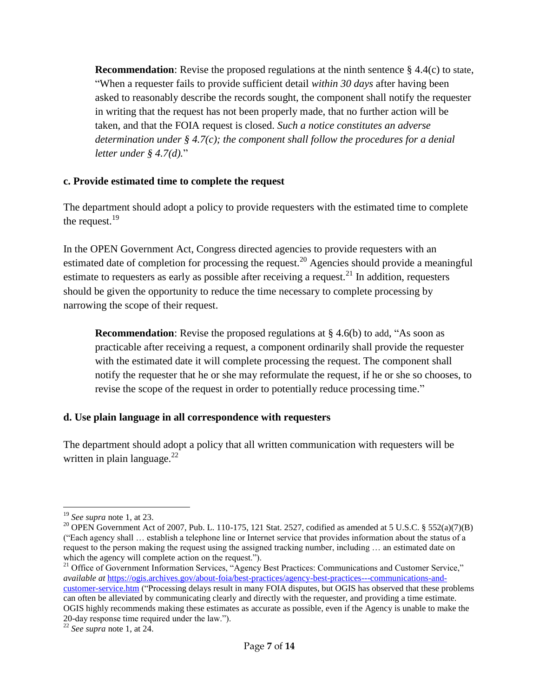**Recommendation**: Revise the proposed regulations at the ninth sentence  $\S 4.4(c)$  to state, "When a requester fails to provide sufficient detail *within 30 days* after having been asked to reasonably describe the records sought, the component shall notify the requester in writing that the request has not been properly made, that no further action will be taken, and that the FOIA request is closed. *Such a notice constitutes an adverse determination under § 4.7(c); the component shall follow the procedures for a denial letter under § 4.7(d).*"

### **c. Provide estimated time to complete the request**

The department should adopt a policy to provide requesters with the estimated time to complete the request.<sup>19</sup>

In the OPEN Government Act, Congress directed agencies to provide requesters with an estimated date of completion for processing the request.<sup>20</sup> Agencies should provide a meaningful estimate to requesters as early as possible after receiving a request.<sup>21</sup> In addition, requesters should be given the opportunity to reduce the time necessary to complete processing by narrowing the scope of their request.

**Recommendation**: Revise the proposed regulations at § 4.6(b) to add, "As soon as practicable after receiving a request, a component ordinarily shall provide the requester with the estimated date it will complete processing the request. The component shall notify the requester that he or she may reformulate the request, if he or she so chooses, to revise the scope of the request in order to potentially reduce processing time."

### **d. Use plain language in all correspondence with requesters**

The department should adopt a policy that all written communication with requesters will be written in plain language. $^{22}$ 

<sup>1</sup> <sup>19</sup> *See supra* note 1, at 23.

<sup>&</sup>lt;sup>20</sup> OPEN Government Act of 2007, Pub. L. 110-175, 121 Stat. 2527, codified as amended at 5 U.S.C. § 552(a)(7)(B) ("Each agency shall … establish a telephone line or Internet service that provides information about the status of a request to the person making the request using the assigned tracking number, including … an estimated date on which the agency will complete action on the request.").

<sup>&</sup>lt;sup>21</sup> Office of Government Information Services, "Agency Best Practices: Communications and Customer Service," *available at* [https://ogis.archives.gov/about-foia/best-practices/agency-best-practices---communications-and](https://ogis.archives.gov/about-foia/best-practices/agency-best-practices---communications-and-customer-service.htm)[customer-service.htm](https://ogis.archives.gov/about-foia/best-practices/agency-best-practices---communications-and-customer-service.htm) ("Processing delays result in many FOIA disputes, but OGIS has observed that these problems can often be alleviated by communicating clearly and directly with the requester, and providing a time estimate. OGIS highly recommends making these estimates as accurate as possible, even if the Agency is unable to make the 20-day response time required under the law.").

<sup>22</sup> *See supra* note 1, at 24.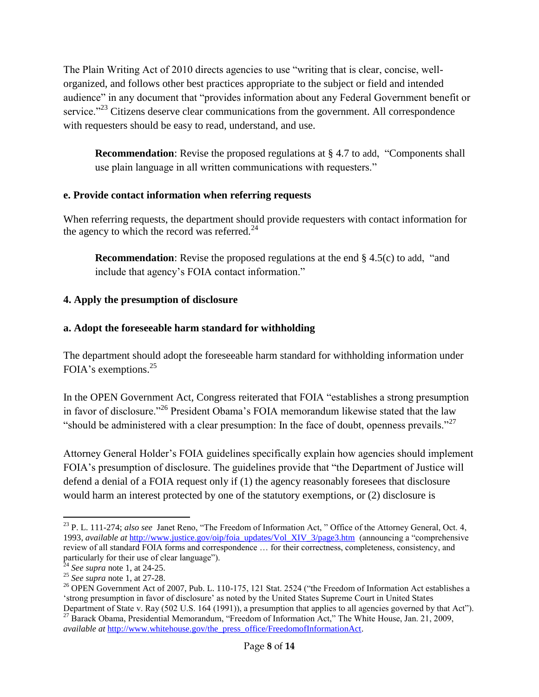The Plain Writing Act of 2010 directs agencies to use "writing that is clear, concise, wellorganized, and follows other best practices appropriate to the subject or field and intended audience" in any document that "provides information about any Federal Government benefit or service."<sup>23</sup> Citizens deserve clear communications from the government. All correspondence with requesters should be easy to read, understand, and use.

**Recommendation:** Revise the proposed regulations at § 4.7 to add, "Components shall use plain language in all written communications with requesters."

# **e. Provide contact information when referring requests**

When referring requests, the department should provide requesters with contact information for the agency to which the record was referred.<sup>24</sup>

**Recommendation**: Revise the proposed regulations at the end § 4.5(c) to add, "and include that agency's FOIA contact information."

# **4. Apply the presumption of disclosure**

# **a. Adopt the foreseeable harm standard for withholding**

The department should adopt the foreseeable harm standard for withholding information under FOIA's exemptions.<sup>25</sup>

In the OPEN Government Act, Congress reiterated that FOIA "establishes a strong presumption in favor of disclosure."<sup>26</sup> President Obama's FOIA memorandum likewise stated that the law "should be administered with a clear presumption: In the face of doubt, openness prevails."<sup>27</sup>

Attorney General Holder's FOIA guidelines specifically explain how agencies should implement FOIA's presumption of disclosure. The guidelines provide that "the Department of Justice will defend a denial of a FOIA request only if (1) the agency reasonably foresees that disclosure would harm an interest protected by one of the statutory exemptions, or (2) disclosure is

 $\overline{a}$ <sup>23</sup> P. L. 111-274; *also see* Janet Reno, "The Freedom of Information Act," Office of the Attorney General, Oct. 4, 1993, *available at* [http://www.justice.gov/oip/foia\\_updates/Vol\\_XIV\\_3/page3.htm](http://www.justice.gov/oip/foia_updates/Vol_XIV_3/page3.htm) (announcing a "comprehensive review of all standard FOIA forms and correspondence … for their correctness, completeness, consistency, and particularly for their use of clear language").

 $2<sup>24</sup>$  *See supra* note 1, at 24-25.

<sup>25</sup> *See supra* note 1, at 27-28.

<sup>&</sup>lt;sup>26</sup> OPEN Government Act of 2007, Pub. L. 110-175, 121 Stat. 2524 ("the Freedom of Information Act establishes a 'strong presumption in favor of disclosure' as noted by the United States Supreme Court in United States Department of State v. Ray (502 U.S. 164 (1991)), a presumption that applies to all agencies governed by that Act").

<sup>&</sup>lt;sup>27</sup> Barack Obama, Presidential Memorandum, "Freedom of Information Act," The White House, Jan. 21, 2009, *available at [http://www.whitehouse.gov/the\\_press\\_office/FreedomofInformationAct.](http://www.whitehouse.gov/the_press_office/FreedomofInformationAct)*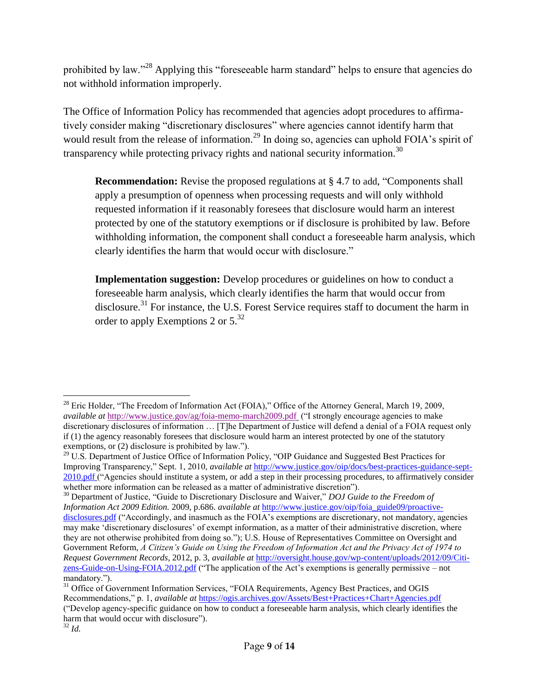prohibited by law."<sup>28</sup> Applying this "foreseeable harm standard" helps to ensure that agencies do not withhold information improperly.

The Office of Information Policy has recommended that agencies adopt procedures to affirmatively consider making "discretionary disclosures" where agencies cannot identify harm that would result from the release of information.<sup>29</sup> In doing so, agencies can uphold FOIA's spirit of transparency while protecting privacy rights and national security information.<sup>30</sup>

**Recommendation:** Revise the proposed regulations at § 4.7 to add, "Components shall apply a presumption of openness when processing requests and will only withhold requested information if it reasonably foresees that disclosure would harm an interest protected by one of the statutory exemptions or if disclosure is prohibited by law. Before withholding information, the component shall conduct a foreseeable harm analysis, which clearly identifies the harm that would occur with disclosure."

**Implementation suggestion:** Develop procedures or guidelines on how to conduct a foreseeable harm analysis, which clearly identifies the harm that would occur from disclosure.<sup>31</sup> For instance, the U.S. Forest Service requires staff to document the harm in order to apply Exemptions 2 or  $5^{32}$ 

 $\overline{a}$ <sup>28</sup> Eric Holder, "The Freedom of Information Act (FOIA)," Office of the Attorney General, March 19, 2009, *available at* <http://www.justice.gov/ag/foia-memo-march2009.pdf> ("I strongly encourage agencies to make discretionary disclosures of information … [T]he Department of Justice will defend a denial of a FOIA request only if (1) the agency reasonably foresees that disclosure would harm an interest protected by one of the statutory exemptions, or (2) disclosure is prohibited by law.").

<sup>&</sup>lt;sup>29</sup> U.S. Department of Justice Office of Information Policy, "OIP Guidance and Suggested Best Practices for Improving Transparency," Sept. 1, 2010, *available at* [http://www.justice.gov/oip/docs/best-practices-guidance-sept-](http://www.justice.gov/oip/docs/best-practices-guidance-sept-2010.pdf)[2010.pdf](http://www.justice.gov/oip/docs/best-practices-guidance-sept-2010.pdf) ("Agencies should institute a system, or add a step in their processing procedures, to affirmatively consider whether more information can be released as a matter of administrative discretion").

<sup>30</sup> Department of Justice, "Guide to Discretionary Disclosure and Waiver," *DOJ Guide to the Freedom of Information Act 2009 Edition.* 2009, p.686. *available at* [http://www.justice.gov/oip/foia\\_guide09/proactive](http://www.justice.gov/oip/foia_guide09/proactive-disclosures.pdf)[disclosures.pdf](http://www.justice.gov/oip/foia_guide09/proactive-disclosures.pdf) ("Accordingly, and inasmuch as the FOIA's exemptions are discretionary, not mandatory, agencies may make 'discretionary disclosures' of exempt information, as a matter of their administrative discretion, where they are not otherwise prohibited from doing so."); U.S. House of Representatives Committee on Oversight and Government Reform, *A Citizen's Guide on Using the Freedom of Information Act and the Privacy Act of 1974 to Request Government Records*, 2012, p. 3, *available at* [http://oversight.house.gov/wp-content/uploads/2012/09/Citi](http://oversight.house.gov/wp-content/uploads/2012/09/Citi%1fzens-Guide-on-Using-FOIA.2012.pdf)[zens-Guide-on-Using-FOIA.2012.pdf](http://oversight.house.gov/wp-content/uploads/2012/09/Citi%1fzens-Guide-on-Using-FOIA.2012.pdf) ("The application of the Act's exemptions is generally permissive – not mandatory.").

<sup>&</sup>lt;sup>31</sup> Office of Government Information Services, "FOIA Requirements, Agency Best Practices, and OGIS Recommendations," p. 1, *available at* <https://ogis.archives.gov/Assets/Best+Practices+Chart+Agencies.pdf> ("Develop agency-specific guidance on how to conduct a foreseeable harm analysis, which clearly identifies the harm that would occur with disclosure").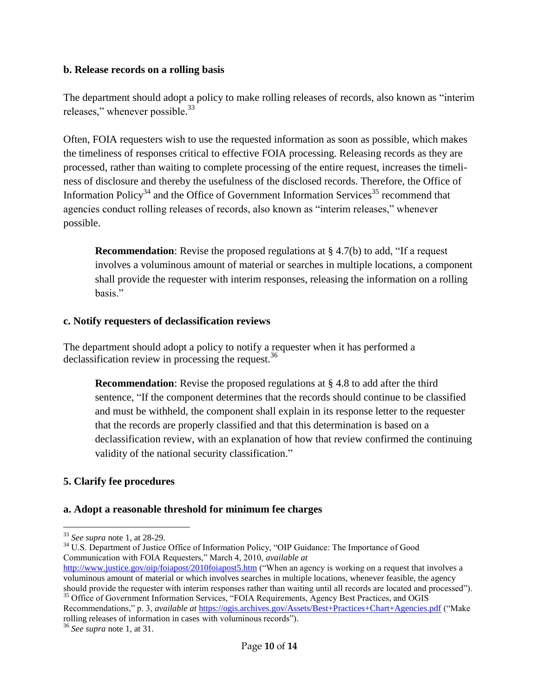#### **b. Release records on a rolling basis**

The department should adopt a policy to make rolling releases of records, also known as "interim releases," whenever possible.<sup>33</sup>

Often, FOIA requesters wish to use the requested information as soon as possible, which makes the timeliness of responses critical to effective FOIA processing. Releasing records as they are processed, rather than waiting to complete processing of the entire request, increases the timeliness of disclosure and thereby the usefulness of the disclosed records. Therefore, the Office of Information Policy<sup>34</sup> and the Office of Government Information Services<sup>35</sup> recommend that agencies conduct rolling releases of records, also known as "interim releases," whenever possible.

**Recommendation**: Revise the proposed regulations at § 4.7(b) to add, "If a request involves a voluminous amount of material or searches in multiple locations, a component shall provide the requester with interim responses, releasing the information on a rolling basis."

### **c. Notify requesters of declassification reviews**

The department should adopt a policy to notify a requester when it has performed a declassification review in processing the request.<sup>36</sup>

**Recommendation**: Revise the proposed regulations at § 4.8 to add after the third sentence, "If the component determines that the records should continue to be classified and must be withheld, the component shall explain in its response letter to the requester that the records are properly classified and that this determination is based on a declassification review, with an explanation of how that review confirmed the continuing validity of the national security classification."

### **5. Clarify fee procedures**

### **a. Adopt a reasonable threshold for minimum fee charges**

<sup>34</sup> U.S. Department of Justice Office of Information Policy, "OIP Guidance: The Importance of Good Communication with FOIA Requesters," March 4, 2010, *available at* 

<http://www.justice.gov/oip/foiapost/2010foiapost5.htm> ("When an agency is working on a request that involves a voluminous amount of material or which involves searches in multiple locations, whenever feasible, the agency should provide the requester with interim responses rather than waiting until all records are located and processed"). <sup>35</sup> Office of Government Information Services, "FOIA Requirements, Agency Best Practices, and OGIS Recommendations," p. 3, *available at* <https://ogis.archives.gov/Assets/Best+Practices+Chart+Agencies.pdf> ("Make rolling releases of information in cases with voluminous records").

<sup>1</sup> <sup>33</sup> *See supra* note 1, at 28-29.

<sup>36</sup> *See supra* note 1, at 31.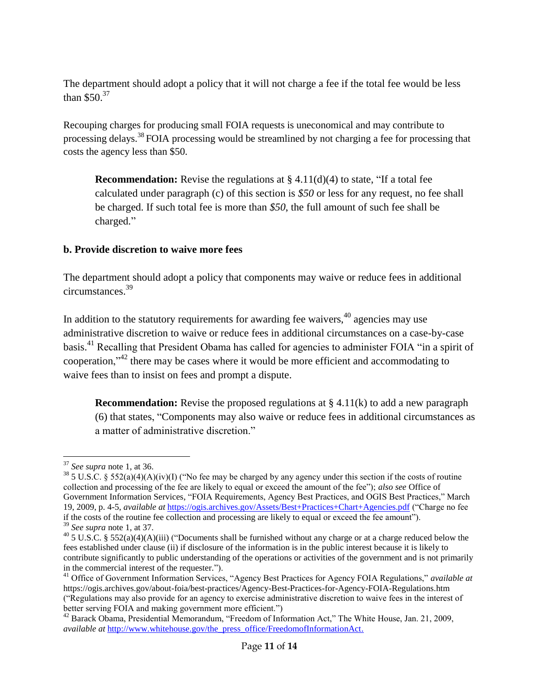The department should adopt a policy that it will not charge a fee if the total fee would be less than \$50.<sup>37</sup>

Recouping charges for producing small FOIA requests is uneconomical and may contribute to processing delays.<sup>38</sup> FOIA processing would be streamlined by not charging a fee for processing that costs the agency less than \$50.

**Recommendation:** Revise the regulations at  $\S 4.11(d)(4)$  to state, "If a total fee calculated under paragraph (c) of this section is *\$50* or less for any request, no fee shall be charged. If such total fee is more than *\$50*, the full amount of such fee shall be charged."

### **b. Provide discretion to waive more fees**

The department should adopt a policy that components may waive or reduce fees in additional circumstances. 39

In addition to the statutory requirements for awarding fee waivers,  $40$  agencies may use administrative discretion to waive or reduce fees in additional circumstances on a case-by-case basis.<sup>41</sup> Recalling that President Obama has called for agencies to administer FOIA "in a spirit of cooperation,"<sup>42</sup> there may be cases where it would be more efficient and accommodating to waive fees than to insist on fees and prompt a dispute.

**Recommendation:** Revise the proposed regulations at § 4.11(k) to add a new paragraph (6) that states, "Components may also waive or reduce fees in additional circumstances as a matter of administrative discretion."

 $\overline{a}$ <sup>37</sup> *See supra* note 1, at 36.

<sup>&</sup>lt;sup>38</sup> 5 U.S.C. § 552(a)(4)(A)(iv)(I) ("No fee may be charged by any agency under this section if the costs of routine collection and processing of the fee are likely to equal or exceed the amount of the fee"); *also see* Office of Government Information Services, "FOIA Requirements, Agency Best Practices, and OGIS Best Practices," March 19, 2009, p. 4-5, *available at* <https://ogis.archives.gov/Assets/Best+Practices+Chart+Agencies.pdf> ("Charge no fee if the costs of the routine fee collection and processing are likely to equal or exceed the fee amount"). <sup>39</sup> *See supra* note 1, at 37.

<sup>&</sup>lt;sup>40</sup> 5 U.S.C. § 552(a)(4)(A)(iii) ("Documents shall be furnished without any charge or at a charge reduced below the fees established under clause (ii) if disclosure of the information is in the public interest because it is likely to contribute significantly to public understanding of the operations or activities of the government and is not primarily in the commercial interest of the requester.").

<sup>41</sup> Office of Government Information Services, "Agency Best Practices for Agency FOIA Regulations," *available at*  https://ogis.archives.gov/about-foia/best-practices/Agency-Best-Practices-for-Agency-FOIA-Regulations.htm ("Regulations may also provide for an agency to exercise administrative discretion to waive fees in the interest of better serving FOIA and making government more efficient.")

<sup>42</sup> Barack Obama, Presidential Memorandum, "Freedom of Information Act," The White House, Jan. 21, 2009, *available at [http://www.whitehouse.gov/the\\_press\\_office/FreedomofInformationAct.](http://www.whitehouse.gov/the_press_office/FreedomofInformationAct)*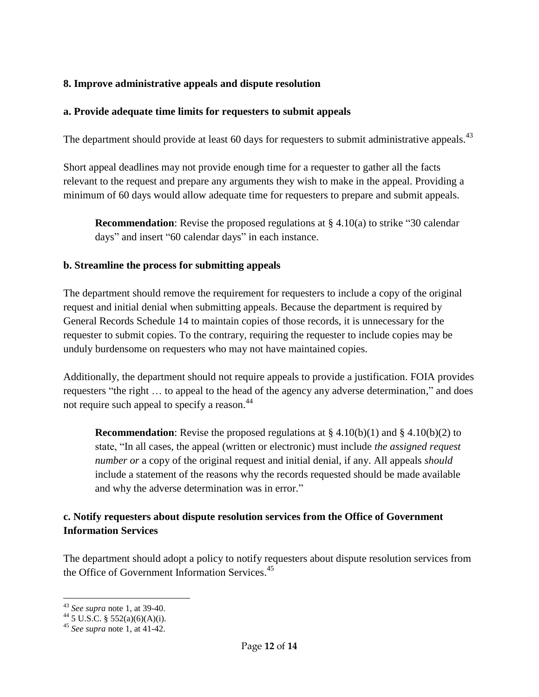# **8. Improve administrative appeals and dispute resolution**

### **a. Provide adequate time limits for requesters to submit appeals**

The department should provide at least 60 days for requesters to submit administrative appeals.<sup>43</sup>

Short appeal deadlines may not provide enough time for a requester to gather all the facts relevant to the request and prepare any arguments they wish to make in the appeal. Providing a minimum of 60 days would allow adequate time for requesters to prepare and submit appeals.

**Recommendation**: Revise the proposed regulations at  $\S 4.10(a)$  to strike "30 calendar" days" and insert "60 calendar days" in each instance.

### **b. Streamline the process for submitting appeals**

The department should remove the requirement for requesters to include a copy of the original request and initial denial when submitting appeals. Because the department is required by General Records Schedule 14 to maintain copies of those records, it is unnecessary for the requester to submit copies. To the contrary, requiring the requester to include copies may be unduly burdensome on requesters who may not have maintained copies.

Additionally, the department should not require appeals to provide a justification. FOIA provides requesters "the right … to appeal to the head of the agency any adverse determination," and does not require such appeal to specify a reason.<sup>44</sup>

**Recommendation**: Revise the proposed regulations at  $\S 4.10(b)(1)$  and  $\S 4.10(b)(2)$  to state, "In all cases, the appeal (written or electronic) must include *the assigned request number or* a copy of the original request and initial denial, if any. All appeals *should* include a statement of the reasons why the records requested should be made available and why the adverse determination was in error."

# **c. Notify requesters about dispute resolution services from the Office of Government Information Services**

The department should adopt a policy to notify requesters about dispute resolution services from the Office of Government Information Services.<sup>45</sup>

<sup>1</sup> <sup>43</sup> *See supra* note 1, at 39-40.

 $^{44}$  5 U.S.C. § 552(a)(6)(A)(i).

<sup>45</sup> *See supra* note 1, at 41-42.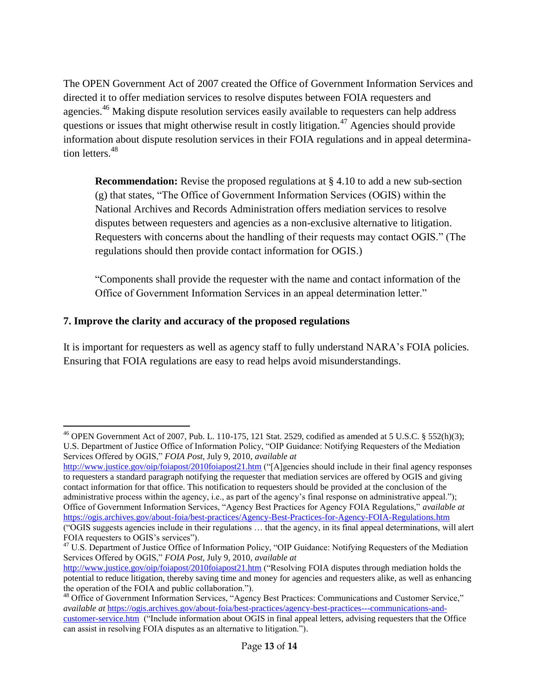The OPEN Government Act of 2007 created the Office of Government Information Services and directed it to offer mediation services to resolve disputes between FOIA requesters and agencies.<sup>46</sup> Making dispute resolution services easily available to requesters can help address questions or issues that might otherwise result in costly litigation.<sup>47</sup> Agencies should provide information about dispute resolution services in their FOIA regulations and in appeal determination letters.<sup>48</sup>

**Recommendation:** Revise the proposed regulations at § 4.10 to add a new sub-section (g) that states, "The Office of Government Information Services (OGIS) within the National Archives and Records Administration offers mediation services to resolve disputes between requesters and agencies as a non-exclusive alternative to litigation. Requesters with concerns about the handling of their requests may contact OGIS." (The regulations should then provide contact information for OGIS.)

"Components shall provide the requester with the name and contact information of the Office of Government Information Services in an appeal determination letter."

# **7. Improve the clarity and accuracy of the proposed regulations**

 $\overline{a}$ 

It is important for requesters as well as agency staff to fully understand NARA's FOIA policies. Ensuring that FOIA regulations are easy to read helps avoid misunderstandings.

<http://www.justice.gov/oip/foiapost/2010foiapost21.htm> ("[A]gencies should include in their final agency responses to requesters a standard paragraph notifying the requester that mediation services are offered by OGIS and giving contact information for that office. This notification to requesters should be provided at the conclusion of the administrative process within the agency, i.e., as part of the agency's final response on administrative appeal."); Office of Government Information Services, "Agency Best Practices for Agency FOIA Regulations," *available at*  <https://ogis.archives.gov/about-foia/best-practices/Agency-Best-Practices-for-Agency-FOIA-Regulations.htm> ("OGIS suggests agencies include in their regulations … that the agency, in its final appeal determinations, will alert FOIA requesters to OGIS's services").

<sup>&</sup>lt;sup>46</sup> OPEN Government Act of 2007, Pub. L. 110-175, 121 Stat. 2529, codified as amended at 5 U.S.C. § 552(h)(3); U.S. Department of Justice Office of Information Policy, "OIP Guidance: Notifying Requesters of the Mediation Services Offered by OGIS," *FOIA Post*, July 9, 2010, *available at* 

<sup>&</sup>lt;sup>47</sup> U.S. Department of Justice Office of Information Policy, "OIP Guidance: Notifying Requesters of the Mediation Services Offered by OGIS," *FOIA Post*, July 9, 2010, *available at*

<http://www.justice.gov/oip/foiapost/2010foiapost21.htm> ("Resolving FOIA disputes through mediation holds the potential to reduce litigation, thereby saving time and money for agencies and requesters alike, as well as enhancing the operation of the FOIA and public collaboration.").

<sup>&</sup>lt;sup>48</sup> Office of Government Information Services, "Agency Best Practices: Communications and Customer Service," *available at* [https://ogis.archives.gov/about-foia/best-practices/agency-best-practices---communications-and](https://ogis.archives.gov/about-foia/best-practices/agency-best-practices---communications-and-customer-service.htm)[customer-service.htm](https://ogis.archives.gov/about-foia/best-practices/agency-best-practices---communications-and-customer-service.htm) ("Include information about OGIS in final appeal letters, advising requesters that the Office can assist in resolving FOIA disputes as an alternative to litigation.").